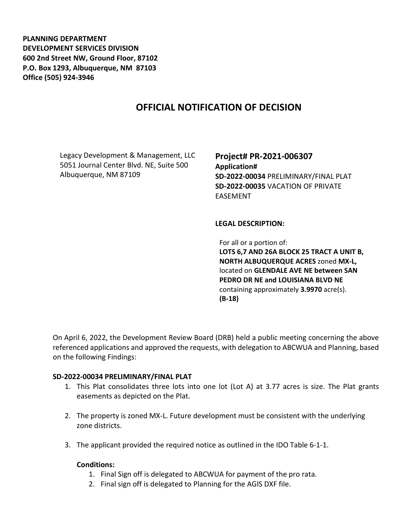**PLANNING DEPARTMENT DEVELOPMENT SERVICES DIVISION 600 2nd Street NW, Ground Floor, 87102 P.O. Box 1293, Albuquerque, NM 87103 Office (505) 924-3946** 

# **OFFICIAL NOTIFICATION OF DECISION**

Legacy Development & Management, LLC 5051 Journal Center Blvd. NE, Suite 500 Albuquerque, NM 87109

**Project# PR-2021-006307 Application# SD-2022-00034** PRELIMINARY/FINAL PLAT **SD-2022-00035** VACATION OF PRIVATE EASEMENT

### **LEGAL DESCRIPTION:**

For all or a portion of: **LOTS 6,7 AND 26A BLOCK 25 TRACT A UNIT B, NORTH ALBUQUERQUE ACRES** zoned **MX-L,**  located on **GLENDALE AVE NE between SAN PEDRO DR NE and LOUISIANA BLVD NE**  containing approximately **3.9970** acre(s). **(B-18)**

On April 6, 2022, the Development Review Board (DRB) held a public meeting concerning the above referenced applications and approved the requests, with delegation to ABCWUA and Planning, based on the following Findings:

#### **SD-2022-00034 PRELIMINARY/FINAL PLAT**

- 1. This Plat consolidates three lots into one lot (Lot A) at 3.77 acres is size. The Plat grants easements as depicted on the Plat.
- 2. The property is zoned MX-L. Future development must be consistent with the underlying zone districts.
- 3. The applicant provided the required notice as outlined in the IDO Table 6-1-1.

#### **Conditions:**

- 1. Final Sign off is delegated to ABCWUA for payment of the pro rata.
- 2. Final sign off is delegated to Planning for the AGIS DXF file.